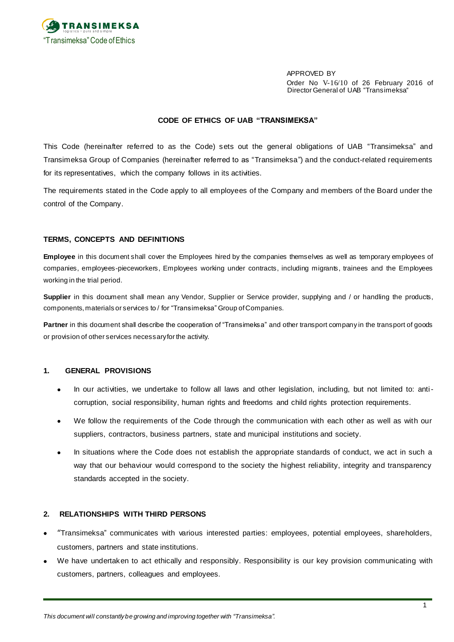

APPROVED BY Order No V-16/10 of 26 February 2016 of Director General of UAB "Transimeksa"

#### **CODE OF ETHICS OF UAB "TRANSIMEKSA"**

This Code (hereinafter referred to as the Code) sets out the general obligations of UAB "Transimeksa" and Transimeksa Group of Companies (hereinafter referred to as "Transimeksa") and the conduct-related requirements for its representatives, which the company follows in its activities.

The requirements stated in the Code apply to all employees of the Company and members of the Board under the control of the Company.

#### **TERMS, CONCEPTS AND DEFINITIONS**

**Employee** in this document shall cover the Employees hired by the companies themselves as well as temporary employees of companies, employees-pieceworkers, Employees working under contracts, including migrants, trainees and the Employees working in the trial period.

**Supplier** in this document shall mean any Vendor, Supplier or Service provider, supplying and / or handling the products, components, materials or services to / for "Transimeksa" Group of Companies.

**Partner** in this document shall describe the cooperation of "Transimeksa" and other transport company in the transport of goods or provision of other services necessary for the activity.

#### **1. GENERAL PROVISIONS**

- In our activities, we undertake to follow all laws and other legislation, including, but not limited to: anticorruption, social responsibility, human rights and freedoms and child rights protection requirements.
- We follow the requirements of the Code through the communication with each other as well as with our suppliers, contractors, business partners, state and municipal institutions and society.
- In situations where the Code does not establish the appropriate standards of conduct, we act in such a way that our behaviour would correspond to the society the highest reliability, integrity and transparency standards accepted in the society.

#### **2. RELATIONSHIPS WITH THIRD PERSONS**

- "Transimeksa" communicates with various interested parties: employees, potential employees, shareholders, customers, partners and state institutions.
- We have undertaken to act ethically and responsibly. Responsibility is our key provision communicating with customers, partners, colleagues and employees.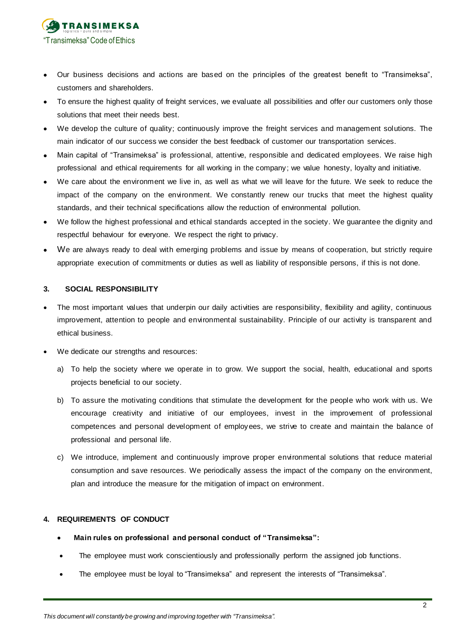

- Our business decisions and actions are based on the principles of the greatest benefit to "Transimeksa", customers and shareholders.
- To ensure the highest quality of freight services, we evaluate all possibilities and offer our customers only those solutions that meet their needs best.
- We develop the culture of quality; continuously improve the freight services and management solutions. The main indicator of our success we consider the best feedback of customer our transportation services.
- Main capital of "Transimeksa" is professional, attentive, responsible and dedicated employees. We raise high professional and ethical requirements for all working in the company; we value honesty, loyalty and initiative.
- We care about the environment we live in, as well as what we will leave for the future. We seek to reduce the impact of the company on the environment. We constantly renew our trucks that meet the highest quality standards, and their technical specifications allow the reduction of environmental pollution.
- We follow the highest professional and ethical standards accepted in the society. We guarantee the dignity and respectful behaviour for everyone. We respect the right to privacy.
- We are always ready to deal with emerging problems and issue by means of cooperation, but strictly require appropriate execution of commitments or duties as well as liability of responsible persons, if this is not done.

## **3. SOCIAL RESPONSIBILITY**

- The most important values that underpin our daily activities are responsibility, flexibility and agility, continuous improvement, attention to people and environmental sustainability. Principle of our activity is transparent and ethical business.
- We dedicate our strengths and resources:
	- a) To help the society where we operate in to grow. We support the social, health, educational and sports projects beneficial to our society.
	- b) To assure the motivating conditions that stimulate the development for the people who work with us. We encourage creativity and initiative of our employees, invest in the improvement of professional competences and personal development of employees, we strive to create and maintain the balance of professional and personal life.
	- c) We introduce, implement and continuously improve proper environmental solutions that reduce material consumption and save resources. We periodically assess the impact of the company on the environment, plan and introduce the measure for the mitigation of impact on environment.

#### **4. REQUIREMENTS OF CONDUCT**

- **Main rules on professional and personal conduct of "Transimeksa":**
- The employee must work conscientiously and professionally perform the assigned job functions.
- The employee must be loyal to "Transimeksa" and represent the interests of "Transimeksa".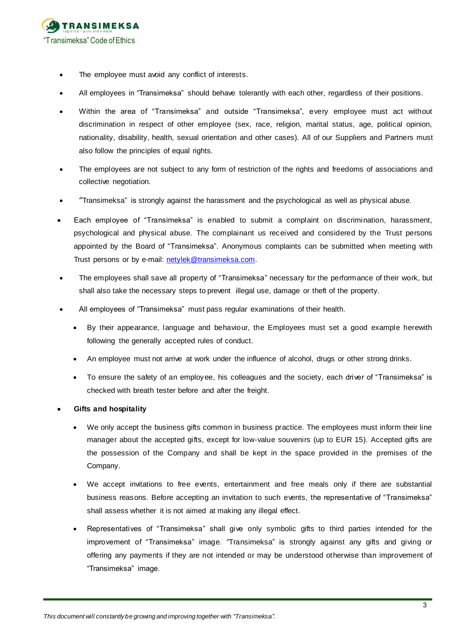

- The employee must avoid any conflict of interests.
- All employees in "Transimeksa" should behave tolerantly with each other, regardless of their positions.
- Within the area of "Transimeksa" and outside "Transimeksa", every employee must act without discrimination in respect of other employee (sex, race, religion, marital status, age, political opinion, nationality, disability, health, sexual orientation and other cases). All of our Suppliers and Partners must also follow the principles of equal rights.
- The employees are not subject to any form of restriction of the rights and freedoms of associations and collective negotiation.
- "Transimeksa" is strongly against the harassment and the psychological as well as physical abuse.
- Each employee of "Transimeksa" is enabled to submit a complaint on discrimination, harassment, psychological and physical abuse. The complainant us received and considered by the Trust persons appointed by the Board of "Transimeksa". Anonymous complaints can be submitted when meeting with Trust persons or by e-mail: [netylek@transimeksa.com.](mailto:netylek@transimeksa.com)
- The employees shall save all property of "Transimeksa" necessary for the performance of their work, but shall also take the necessary steps to prevent illegal use, damage or theft of the property.
- All employees of "Transimeksa" must pass regular examinations of their health.
	- By their appearance, language and behaviour, the Employees must set a good example herewith following the generally accepted rules of conduct.
	- An employee must not arrive at work under the influence of alcohol, drugs or other strong drinks.
	- To ensure the safety of an employee, his colleagues and the society, each driver of "Transimeksa" is checked with breath tester before and after the freight.
- **Gifts and hospitality**
	- We only accept the business gifts common in business practice. The employees must inform their line manager about the accepted gifts, except for low-value souvenirs (up to EUR 15). Accepted gifts are the possession of the Company and shall be kept in the space provided in the premises of the Company.
	- We accept invitations to free events, entertainment and free meals only if there are substantial business reasons. Before accepting an invitation to such events, the representative of "Transimeksa" shall assess whether it is not aimed at making any illegal effect.
	- Representatives of "Transimeksa" shall give only symbolic gifts to third parties intended for the improvement of "Transimeksa" image. "Transimeksa" is strongly against any gifts and giving or offering any payments if they are not intended or may be understood otherwise than improvement of "Transimeksa" image.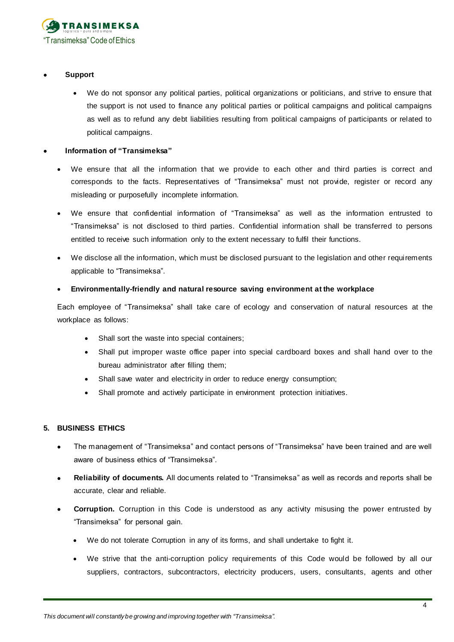

## **Support**

We do not sponsor any political parties, political organizations or politicians, and strive to ensure that the support is not used to finance any political parties or political campaigns and political campaigns as well as to refund any debt liabilities resulting from political campaigns of participants or related to political campaigns.

## **Information of "Transimeksa"**

- We ensure that all the information that we provide to each other and third parties is correct and corresponds to the facts. Representatives of "Transimeksa" must not provide, register or record any misleading or purposefully incomplete information.
- We ensure that confidential information of "Transimeksa" as well as the information entrusted to "Transimeksa" is not disclosed to third parties. Confidential information shall be transferred to persons entitled to receive such information only to the extent necessary to fulfil their functions.
- We disclose all the information, which must be disclosed pursuant to the legislation and other requirements applicable to "Transimeksa".

# **Environmentally-friendly and natural resource saving environment at the workplace**

Each employee of "Transimeksa" shall take care of ecology and conservation of natural resources at the workplace as follows:

- Shall sort the waste into special containers;
- Shall put improper waste office paper into special cardboard boxes and shall hand over to the bureau administrator after filling them;
- Shall save water and electricity in order to reduce energy consumption;
- Shall promote and actively participate in environment protection initiatives.

# **5. BUSINESS ETHICS**

- The management of "Transimeksa" and contact persons of "Transimeksa" have been trained and are well aware of business ethics of "Transimeksa".
- **Reliability of documents.** All documents related to "Transimeksa" as well as records and reports shall be accurate, clear and reliable.
- **Corruption.** Corruption in this Code is understood as any activity misusing the power entrusted by "Transimeksa" for personal gain.
	- We do not tolerate Corruption in any of its forms, and shall undertake to fight it.
	- We strive that the anti-corruption policy requirements of this Code would be followed by all our suppliers, contractors, subcontractors, electricity producers, users, consultants, agents and other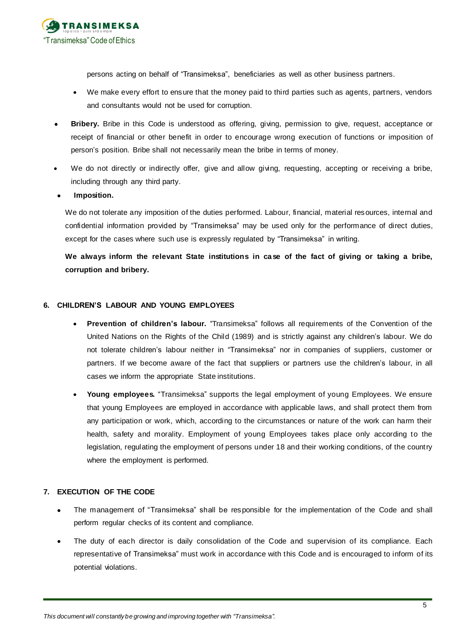

persons acting on behalf of "Transimeksa", beneficiaries as well as other business partners.

- We make every effort to ensure that the money paid to third parties such as agents, partners, vendors and consultants would not be used for corruption.
- **Bribery.** Bribe in this Code is understood as offering, giving, permission to give, request, acceptance or receipt of financial or other benefit in order to encourage wrong execution of functions or imposition of person's position. Bribe shall not necessarily mean the bribe in terms of money.
- We do not directly or indirectly offer, give and allow giving, requesting, accepting or receiving a bribe, including through any third party.

## **Imposition.**

We do not tolerate any imposition of the duties performed. Labour, financial, material resources, internal and confidential information provided by "Transimeksa" may be used only for the performance of direct duties, except for the cases where such use is expressly regulated by "Transimeksa" in writing.

**We always inform the relevant State institutions in case of the fact of giving or taking a bribe, corruption and bribery.**

## **6. CHILDREN'S LABOUR AND YOUNG EMPLOYEES**

- **Prevention of children's labour.** "Transimeksa" follows all requirements of the Convention of the United Nations on the Rights of the Child (1989) and is strictly against any children's labour. We do not tolerate children's labour neither in "Transimeksa" nor in companies of suppliers, customer or partners. If we become aware of the fact that suppliers or partners use the children's labour, in all cases we inform the appropriate State institutions.
- **Young employees.** "Transimeksa" supports the legal employment of young Employees. We ensure that young Employees are employed in accordance with applicable laws, and shall protect them from any participation or work, which, according to the circumstances or nature of the work can harm their health, safety and morality. Employment of young Employees takes place only according to the legislation, regulating the employment of persons under 18 and their working conditions, of the country where the employment is performed.

## **7. EXECUTION OF THE CODE**

- The management of "Transimeksa" shall be responsible for the implementation of the Code and shall perform regular checks of its content and compliance.
- The duty of each director is daily consolidation of the Code and supervision of its compliance. Each representative of Transimeksa" must work in accordance with this Code and is encouraged to inform of its potential violations.